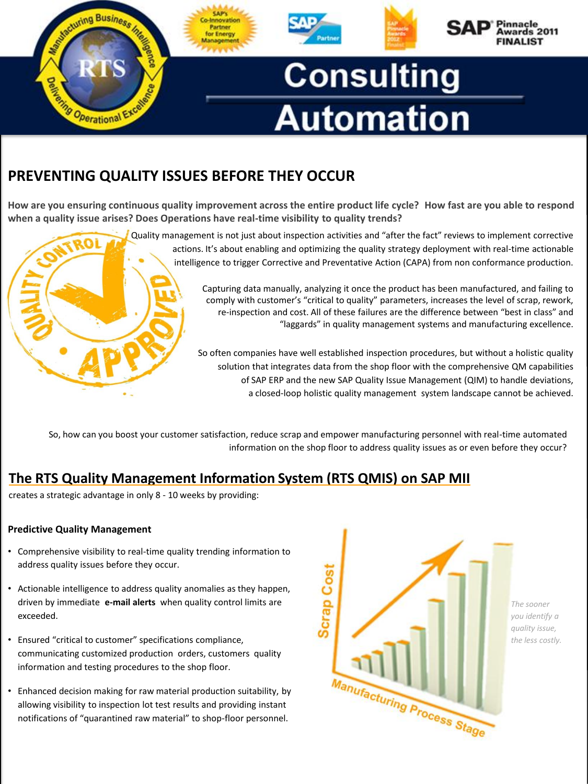

# **PREVENTING QUALITY ISSUES BEFORE THEY OCCUR**

**How are you ensuring continuous quality improvement across the entire product life cycle? How fast are you able to respond when a quality issue arises? Does Operations have real-time visibility to quality trends?**

Quality management is not just about inspection activities and "after the fact" reviews to implement corrective actions. It's about enabling and optimizing the quality strategy deployment with real-time actionable intelligence to trigger Corrective and Preventative Action (CAPA) from non conformance production. Capturing data manually, analyzing it once the product has been manufactured, and failing to comply with customer's "critical to quality" parameters, increases the level of scrap, rework, re-inspection and cost. All of these failures are the difference between "best in class" and "laggards" in quality management systems and manufacturing excellence.

> So often companies have well established inspection procedures, but without a holistic quality solution that integrates data from the shop floor with the comprehensive QM capabilities of SAP ERP and the new SAP Quality Issue Management (QIM) to handle deviations, a closed-loop holistic quality management system landscape cannot be achieved.

So, how can you boost your customer satisfaction, reduce scrap and empower manufacturing personnel with real-time automated information on the shop floor to address quality issues as or even before they occur?

## **The RTS Quality Management Information System (RTS QMIS) on SAP MII**

creates a strategic advantage in only 8 - 10 weeks by providing:

## **Predictive Quality Management**

- Comprehensive visibility to real-time quality trending information to address quality issues before they occur.
- Actionable intelligence to address quality anomalies as they happen, driven by immediate **e-mail alerts** when quality control limits are exceeded.
- Ensured "critical to customer" specifications compliance, communicating customized production orders, customers quality information and testing procedures to the shop floor.
- Enhanced decision making for raw material production suitability, by allowing visibility to inspection lot test results and providing instant notifications of "quarantined raw material" to shop-floor personnel.



*The sooner you identify a quality issue, the less costly.*